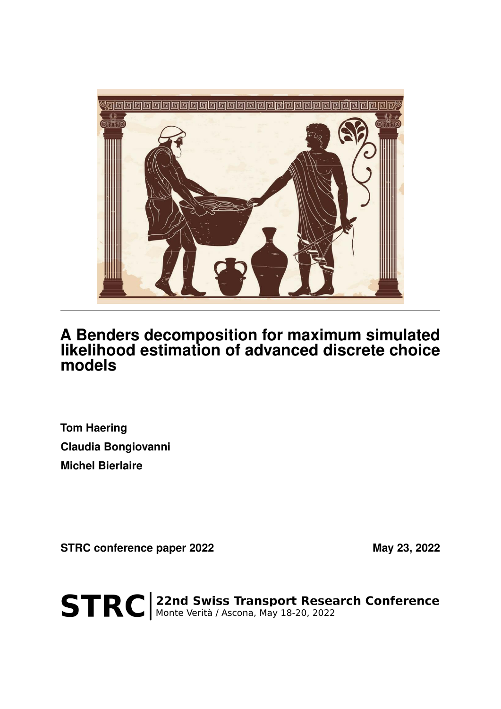

## **A Benders decomposition for maximum simulated likelihood estimation of advanced discrete choice models**

**Tom Haering Claudia Bongiovanni Michel Bierlaire**

STRC conference paper 2022 May 23, 2022

STRC | 22nd Swiss Transport Research Conference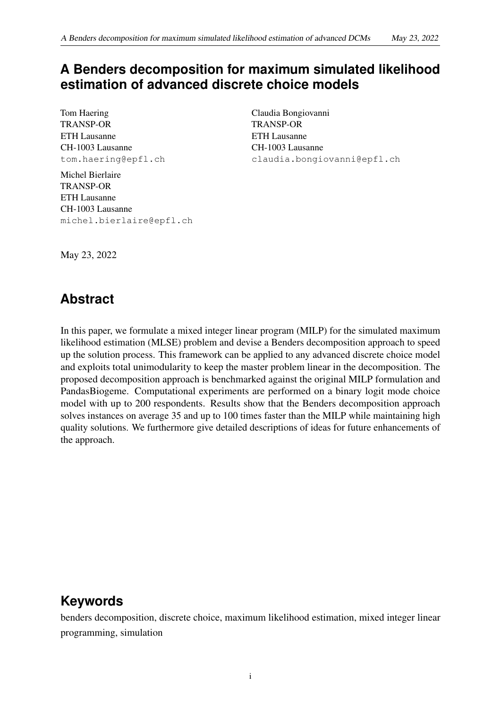## **A Benders decomposition for maximum simulated likelihood estimation of advanced discrete choice models**

Tom Haering TRANSP-OR ETH Lausanne CH-1003 Lausanne tom.haering@epfl.ch

Michel Bierlaire TRANSP-OR ETH Lausanne CH-1003 Lausanne michel.bierlaire@epfl.ch Claudia Bongiovanni TRANSP-OR ETH Lausanne CH-1003 Lausanne claudia.bongiovanni@epfl.ch

May 23, 2022

# **Abstract**

In this paper, we formulate a mixed integer linear program (MILP) for the simulated maximum likelihood estimation (MLSE) problem and devise a Benders decomposition approach to speed up the solution process. This framework can be applied to any advanced discrete choice model and exploits total unimodularity to keep the master problem linear in the decomposition. The proposed decomposition approach is benchmarked against the original MILP formulation and PandasBiogeme. Computational experiments are performed on a binary logit mode choice model with up to 200 respondents. Results show that the Benders decomposition approach solves instances on average 35 and up to 100 times faster than the MILP while maintaining high quality solutions. We furthermore give detailed descriptions of ideas for future enhancements of the approach.

# **Keywords**

benders decomposition, discrete choice, maximum likelihood estimation, mixed integer linear programming, simulation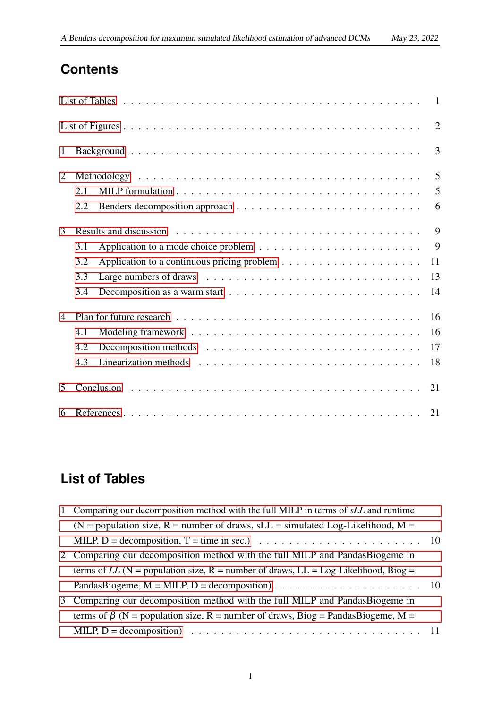## **Contents**

| $\mathbf{1}$   |                                                                                                       |  |  |  |  |  |  |  |  |                |
|----------------|-------------------------------------------------------------------------------------------------------|--|--|--|--|--|--|--|--|----------------|
| $\overline{2}$ |                                                                                                       |  |  |  |  |  |  |  |  | $\overline{5}$ |
|                | 2.1                                                                                                   |  |  |  |  |  |  |  |  | 5              |
|                | 2.2                                                                                                   |  |  |  |  |  |  |  |  |                |
| 3              | Results and discussion $\ldots \ldots \ldots \ldots \ldots \ldots \ldots \ldots \ldots \ldots \ldots$ |  |  |  |  |  |  |  |  | 9              |
|                | 3.1                                                                                                   |  |  |  |  |  |  |  |  | $\overline{9}$ |
|                | 3.2                                                                                                   |  |  |  |  |  |  |  |  | 11             |
|                | 3.3                                                                                                   |  |  |  |  |  |  |  |  | 13             |
|                | 3.4                                                                                                   |  |  |  |  |  |  |  |  | 14             |
| $\overline{4}$ |                                                                                                       |  |  |  |  |  |  |  |  | 16             |
|                | 4.1                                                                                                   |  |  |  |  |  |  |  |  | 16             |
|                | 4.2                                                                                                   |  |  |  |  |  |  |  |  |                |
|                | 4.3                                                                                                   |  |  |  |  |  |  |  |  |                |
| 5              |                                                                                                       |  |  |  |  |  |  |  |  |                |
| 6              |                                                                                                       |  |  |  |  |  |  |  |  |                |

# <span id="page-2-0"></span>**List of Tables**

| $\mathbf{1}$ | Comparing our decomposition method with the full MILP in terms of sLL and runtime                                         |  |
|--------------|---------------------------------------------------------------------------------------------------------------------------|--|
|              | (N = population size, R = number of draws, sLL = simulated Log-Likelihood, $M =$                                          |  |
|              | MILP, D = decomposition, T = time in sec.) $\ldots \ldots \ldots \ldots \ldots \ldots \ldots \ldots \ldots \ldots \ldots$ |  |
|              | 2 Comparing our decomposition method with the full MILP and PandasBiogeme in                                              |  |
|              | terms of LL (N = population size, R = number of draws, LL = Log-Likelihood, Biog =                                        |  |
|              |                                                                                                                           |  |
|              | 3 Comparing our decomposition method with the full MILP and PandasBiogeme in                                              |  |
|              | terms of $\beta$ (N = population size, R = number of draws, Biog = PandasBiogeme, M =                                     |  |
|              |                                                                                                                           |  |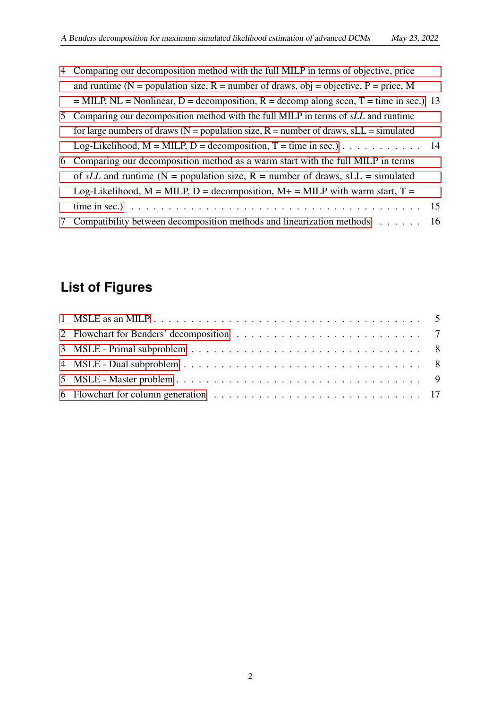- 4 [Comparing our decomposition method with the full MILP in terms of objective, price](#page-14-1) and runtime ( $N =$  population size,  $R =$  number of draws, obj = objective,  $P =$  price, M  $=$  MILP, NL = Nonlinear, D = decomposition, R = decomp along scen, T = time in sec.) 13 5 [Comparing our decomposition method with the full MILP in terms of](#page-15-1) *sLL* and runtime for large numbers of draws ( $N =$  population size,  $R =$  number of draws,  $SLL =$  simulated Log-Likelihood,  $M = MILP$ ,  $D = decomposition$ ,  $T = time$  in sec.) . . . . . . . . . . . 14 6 [Comparing our decomposition method as a warm start with the full MILP in terms](#page-16-0) of  $sLL$  and runtime (N = population size, R = number of draws,  $sLL$  = simulated Log-Likelihood,  $M = MILP$ ,  $D = decomposition$ ,  $M + MILP$  with warm start,  $T =$ [time in sec.\)](#page-16-0) . . . . . . . . . . . . . . . . . . . . . . . . . . . . . . . . . . . . . . . 15
- [7 Compatibility between decomposition methods and linearization methods](#page-17-2) . . . . . . 16

# <span id="page-3-0"></span>**List of Figures**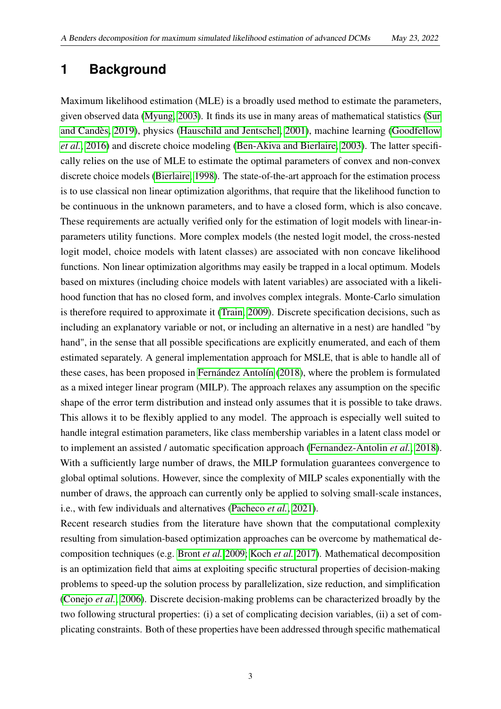## <span id="page-4-0"></span>**1 Background**

Maximum likelihood estimation (MLE) is a broadly used method to estimate the parameters, given observed data [\(Myung, 2003\)](#page-25-0). It finds its use in many areas of mathematical statistics [\(Sur](#page-25-1) [and Candès, 2019\)](#page-25-1), physics [\(Hauschild and Jentschel, 2001\)](#page-24-0), machine learning [\(Goodfellow](#page-24-1) *[et al.](#page-24-1)*, [2016\)](#page-24-1) and discrete choice modeling [\(Ben-Akiva and Bierlaire, 2003\)](#page-22-2). The latter specifically relies on the use of MLE to estimate the optimal parameters of convex and non-convex discrete choice models [\(Bierlaire, 1998\)](#page-23-0). The state-of-the-art approach for the estimation process is to use classical non linear optimization algorithms, that require that the likelihood function to be continuous in the unknown parameters, and to have a closed form, which is also concave. These requirements are actually verified only for the estimation of logit models with linear-inparameters utility functions. More complex models (the nested logit model, the cross-nested logit model, choice models with latent classes) are associated with non concave likelihood functions. Non linear optimization algorithms may easily be trapped in a local optimum. Models based on mixtures (including choice models with latent variables) are associated with a likelihood function that has no closed form, and involves complex integrals. Monte-Carlo simulation is therefore required to approximate it [\(Train, 2009\)](#page-25-2). Discrete specification decisions, such as including an explanatory variable or not, or including an alternative in a nest) are handled "by hand", in the sense that all possible specifications are explicitly enumerated, and each of them estimated separately. A general implementation approach for MSLE, that is able to handle all of these cases, has been proposed in [Fernández Antolín](#page-24-2) [\(2018\)](#page-24-2), where the problem is formulated as a mixed integer linear program (MILP). The approach relaxes any assumption on the specific shape of the error term distribution and instead only assumes that it is possible to take draws. This allows it to be flexibly applied to any model. The approach is especially well suited to handle integral estimation parameters, like class membership variables in a latent class model or to implement an assisted / automatic specification approach [\(Fernandez-Antolin](#page-24-3) *et al.*, [2018\)](#page-24-3). With a sufficiently large number of draws, the MILP formulation guarantees convergence to global optimal solutions. However, since the complexity of MILP scales exponentially with the number of draws, the approach can currently only be applied to solving small-scale instances, i.e., with few individuals and alternatives [\(Pacheco](#page-25-3) *et al.*, [2021\)](#page-25-3).

Recent research studies from the literature have shown that the computational complexity resulting from simulation-based optimization approaches can be overcome by mathematical decomposition techniques (e.g. [Bront](#page-23-1) *et al.* [2009;](#page-23-1) [Koch](#page-24-4) *et al.* [2017\)](#page-24-4). Mathematical decomposition is an optimization field that aims at exploiting specific structural properties of decision-making problems to speed-up the solution process by parallelization, size reduction, and simplification [\(Conejo](#page-23-2) *et al.*, [2006\)](#page-23-2). Discrete decision-making problems can be characterized broadly by the two following structural properties: (i) a set of complicating decision variables, (ii) a set of complicating constraints. Both of these properties have been addressed through specific mathematical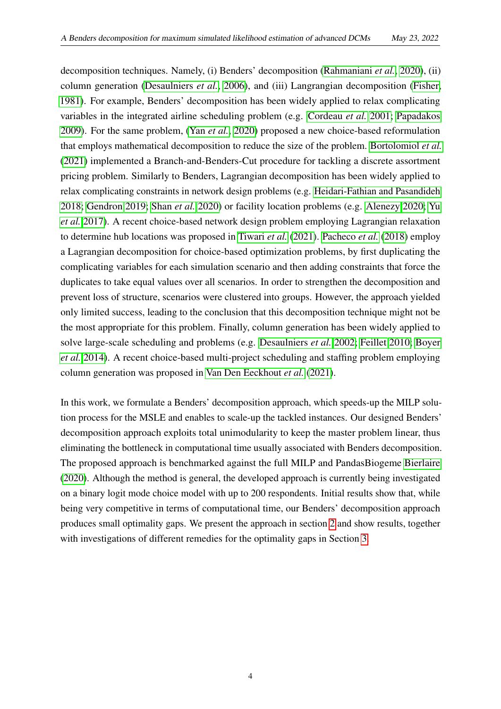decomposition techniques. Namely, (i) Benders' decomposition [\(Rahmaniani](#page-25-4) *et al.*, [2020\)](#page-25-4), (ii) column generation [\(Desaulniers](#page-23-3) *et al.*, [2006\)](#page-23-3), and (iii) Langrangian decomposition [\(Fisher,](#page-24-5) [1981\)](#page-24-5). For example, Benders' decomposition has been widely applied to relax complicating variables in the integrated airline scheduling problem (e.g. [Cordeau](#page-23-4) *et al.* [2001;](#page-23-4) [Papadakos](#page-25-5) [2009\)](#page-25-5). For the same problem, (Yan *[et al.](#page-25-6)*, [2020\)](#page-25-6) proposed a new choice-based reformulation that employs mathematical decomposition to reduce the size of the problem. [Bortolomiol](#page-23-5) *et al.* [\(2021\)](#page-23-5) implemented a Branch-and-Benders-Cut procedure for tackling a discrete assortment pricing problem. Similarly to Benders, Lagrangian decomposition has been widely applied to relax complicating constraints in network design problems (e.g. [Heidari-Fathian and Pasandideh](#page-24-6) [2018;](#page-24-6) [Gendron 2019;](#page-24-7) [Shan](#page-25-7) *et al.* [2020\)](#page-25-7) or facility location problems (e.g. [Alenezy 2020;](#page-22-3) [Yu](#page-26-0) *[et al.](#page-26-0)* [2017\)](#page-26-0). A recent choice-based network design problem employing Lagrangian relaxation to determine hub locations was proposed in [Tiwari](#page-25-8) *et al.* [\(2021\)](#page-25-8). [Pacheco](#page-25-9) *et al.* [\(2018\)](#page-25-9) employ a Lagrangian decomposition for choice-based optimization problems, by first duplicating the complicating variables for each simulation scenario and then adding constraints that force the duplicates to take equal values over all scenarios. In order to strengthen the decomposition and prevent loss of structure, scenarios were clustered into groups. However, the approach yielded only limited success, leading to the conclusion that this decomposition technique might not be the most appropriate for this problem. Finally, column generation has been widely applied to solve large-scale scheduling and problems (e.g. [Desaulniers](#page-23-6) *et al.* [2002;](#page-23-6) [Feillet 2010;](#page-24-8) [Boyer](#page-23-7) *[et al.](#page-23-7)* [2014\)](#page-23-7). A recent choice-based multi-project scheduling and staffing problem employing column generation was proposed in [Van Den Eeckhout](#page-25-10) *et al.* [\(2021\)](#page-25-10).

In this work, we formulate a Benders' decomposition approach, which speeds-up the MILP solution process for the MSLE and enables to scale-up the tackled instances. Our designed Benders' decomposition approach exploits total unimodularity to keep the master problem linear, thus eliminating the bottleneck in computational time usually associated with Benders decomposition. The proposed approach is benchmarked against the full MILP and PandasBiogeme [Bierlaire](#page-23-8) [\(2020\)](#page-23-8). Although the method is general, the developed approach is currently being investigated on a binary logit mode choice model with up to 200 respondents. Initial results show that, while being very competitive in terms of computational time, our Benders' decomposition approach produces small optimality gaps. We present the approach in section [2](#page-6-0) and show results, together with investigations of different remedies for the optimality gaps in Section [3.](#page-10-0)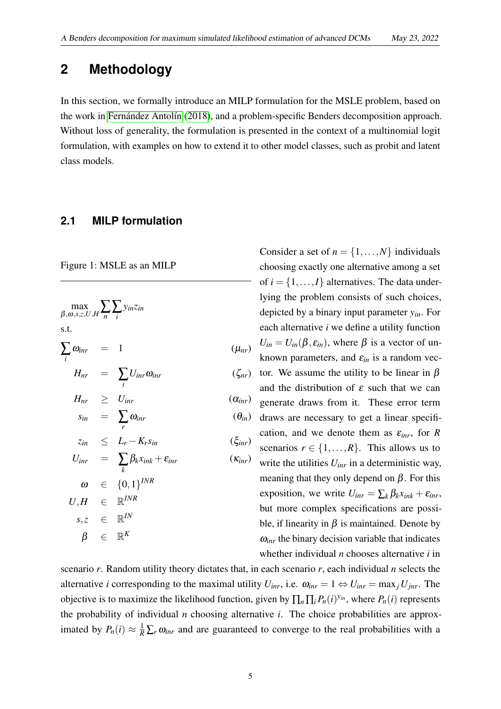### <span id="page-6-0"></span>**2 Methodology**

In this section, we formally introduce an MILP formulation for the MSLE problem, based on the work in [Fernández Antolín](#page-24-2) [\(2018\)](#page-24-2), and a problem-specific Benders decomposition approach. Without loss of generality, the formulation is presented in the context of a multinomial logit formulation, with examples on how to extend it to other model classes, such as probit and latent class models.

#### <span id="page-6-1"></span>**2.1 MILP formulation**

Figure 1: MSLE as an MILP

<span id="page-6-2"></span>
$$
\max_{\beta, \omega, s, z, U, H} \sum_{n} \sum_{i} y_{in} z_{in}
$$
  
s.t.  

$$
\sum_{i} \omega_{inr} = 1
$$
  

$$
H_{nr} = \sum_{i} U_{inr} \omega_{inr}
$$
  

$$
(z_{nr})
$$

$$
H_{nr} \geq U_{inr} \qquad (\alpha_{inr})
$$

$$
s_{in} = \sum_{r} \omega_{inr} \qquad (\theta_{in})
$$

$$
z_{in} \leq L_r - K_r s_{in} \qquad (\xi_{inr})
$$

$$
U_{inr} = \sum_{k} \beta_{k} x_{ink} + \varepsilon_{inr}
$$
  
\n
$$
\omega \in \{0, 1\}^{INR}
$$
  
\n
$$
U, H \in \mathbb{R}^{INR}
$$
  
\n
$$
s, z \in \mathbb{R}^{IN}
$$
  
\n
$$
\beta \in \mathbb{R}^{K}
$$

Consider a set of  $n = \{1, ..., N\}$  individuals choosing exactly one alternative among a set of  $i = \{1, \ldots, I\}$  alternatives. The data underlying the problem consists of such choices, depicted by a binary input parameter *yin*. For each alternative *i* we define a utility function  $U_{in} = U_{in}(\beta, \varepsilon_{in})$ , where  $\beta$  is a vector of unknown parameters, and  $\varepsilon_{in}$  is a random vector. We assume the utility to be linear in  $\beta$ and the distribution of  $\varepsilon$  such that we can generate draws from it. These error term draws are necessary to get a linear specification, and we denote them as  $\varepsilon_{\text{inr}}$ , for *R* scenarios  $r \in \{1, ..., R\}$ . This allows us to write the utilities *Uinr* in a deterministic way, meaning that they only depend on  $\beta$ . For this exposition, we write  $U_{\text{inr}} = \sum_{k} \beta_k x_{\text{ink}} + \varepsilon_{\text{inr}}$ , but more complex specifications are possible, if linearity in  $\beta$  is maintained. Denote by  $\omega_{\text{inr}}$  the binary decision variable that indicates whether individual *n* chooses alternative *i* in

scenario *r*. Random utility theory dictates that, in each scenario *r*, each individual *n* selects the alternative *i* corresponding to the maximal utility  $U_{inr}$ , i.e.  $\omega_{inr} = 1 \Leftrightarrow U_{inr} = \max_j U_{inr}$ . The objective is to maximize the likelihood function, given by  $\prod_n \prod_i P_n(i)^{y_{in}}$ , where  $P_n(i)$  represents the probability of individual *n* choosing alternative *i*. The choice probabilities are approximated by  $P_n(i) \approx \frac{1}{R} \sum_r \omega_{\text{inr}}$  and are guaranteed to converge to the real probabilities with a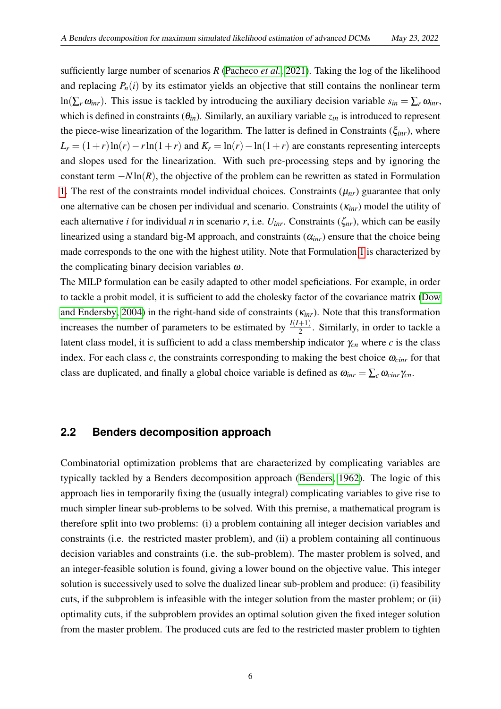sufficiently large number of scenarios *R* [\(Pacheco](#page-25-3) *et al.*, [2021\)](#page-25-3). Taking the log of the likelihood and replacing  $P_n(i)$  by its estimator yields an objective that still contains the nonlinear term ln( $\sum_{r} \omega_{irr}$ ). This issue is tackled by introducing the auxiliary decision variable  $s_{in} = \sum_{r} \omega_{irr}$ , which is defined in constraints  $(\theta_{in})$ . Similarly, an auxiliary variable  $z_{in}$  is introduced to represent the piece-wise linearization of the logarithm. The latter is defined in Constraints (ξ*inr*), where  $L_r = (1+r)\ln(r) - r\ln(1+r)$  and  $K_r = \ln(r) - \ln(1+r)$  are constants representing intercepts and slopes used for the linearization. With such pre-processing steps and by ignoring the constant term −*N* ln(*R*), the objective of the problem can be rewritten as stated in Formulation [1.](#page-6-2) The rest of the constraints model individual choices. Constraints  $(\mu_{nr})$  guarantee that only one alternative can be chosen per individual and scenario. Constraints (κ*inr*) model the utility of each alternative *i* for individual *n* in scenario *r*, i.e.  $U_{irr}$ . Constraints ( $\zeta_{nr}$ ), which can be easily linearized using a standard big-M approach, and constraints  $(\alpha_{inr})$  ensure that the choice being made corresponds to the one with the highest utility. Note that Formulation [1](#page-6-2) is characterized by the complicating binary decision variables  $\omega$ .

The MILP formulation can be easily adapted to other model speficiations. For example, in order to tackle a probit model, it is sufficient to add the cholesky factor of the covariance matrix [\(Dow](#page-23-9) [and Endersby, 2004\)](#page-23-9) in the right-hand side of constraints (κ*inr*). Note that this transformation increases the number of parameters to be estimated by  $\frac{I(I+1)}{2}$ . Similarly, in order to tackle a latent class model, it is sufficient to add a class membership indicator  $\gamma_{cn}$  where *c* is the class index. For each class  $c$ , the constraints corresponding to making the best choice  $\omega_{\text{cir}}$  for that class are duplicated, and finally a global choice variable is defined as  $\omega_{\text{inr}} = \sum_{c} \omega_{\text{cinv}} \gamma_{cn}$ .

#### <span id="page-7-0"></span>**2.2 Benders decomposition approach**

Combinatorial optimization problems that are characterized by complicating variables are typically tackled by a Benders decomposition approach [\(Benders, 1962\)](#page-23-10). The logic of this approach lies in temporarily fixing the (usually integral) complicating variables to give rise to much simpler linear sub-problems to be solved. With this premise, a mathematical program is therefore split into two problems: (i) a problem containing all integer decision variables and constraints (i.e. the restricted master problem), and (ii) a problem containing all continuous decision variables and constraints (i.e. the sub-problem). The master problem is solved, and an integer-feasible solution is found, giving a lower bound on the objective value. This integer solution is successively used to solve the dualized linear sub-problem and produce: (i) feasibility cuts, if the subproblem is infeasible with the integer solution from the master problem; or (ii) optimality cuts, if the subproblem provides an optimal solution given the fixed integer solution from the master problem. The produced cuts are fed to the restricted master problem to tighten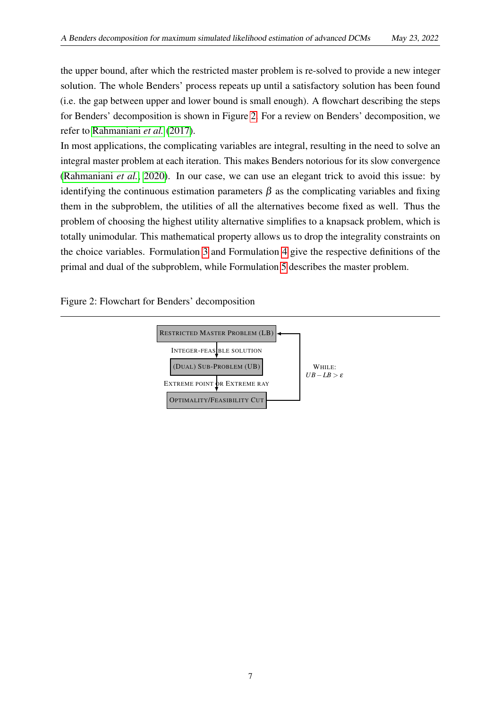the upper bound, after which the restricted master problem is re-solved to provide a new integer solution. The whole Benders' process repeats up until a satisfactory solution has been found (i.e. the gap between upper and lower bound is small enough). A flowchart describing the steps for Benders' decomposition is shown in Figure [2.](#page-8-0) For a review on Benders' decomposition, we refer to [Rahmaniani](#page-25-11) *et al.* [\(2017\)](#page-25-11).

In most applications, the complicating variables are integral, resulting in the need to solve an integral master problem at each iteration. This makes Benders notorious for its slow convergence [\(Rahmaniani](#page-25-4) *et al.*, [2020\)](#page-25-4). In our case, we can use an elegant trick to avoid this issue: by identifying the continuous estimation parameters  $\beta$  as the complicating variables and fixing them in the subproblem, the utilities of all the alternatives become fixed as well. Thus the problem of choosing the highest utility alternative simplifies to a knapsack problem, which is totally unimodular. This mathematical property allows us to drop the integrality constraints on the choice variables. Formulation [3](#page-9-0) and Formulation [4](#page-9-1) give the respective definitions of the primal and dual of the subproblem, while Formulation [5](#page-10-2) describes the master problem.

<span id="page-8-0"></span>Figure 2: Flowchart for Benders' decomposition

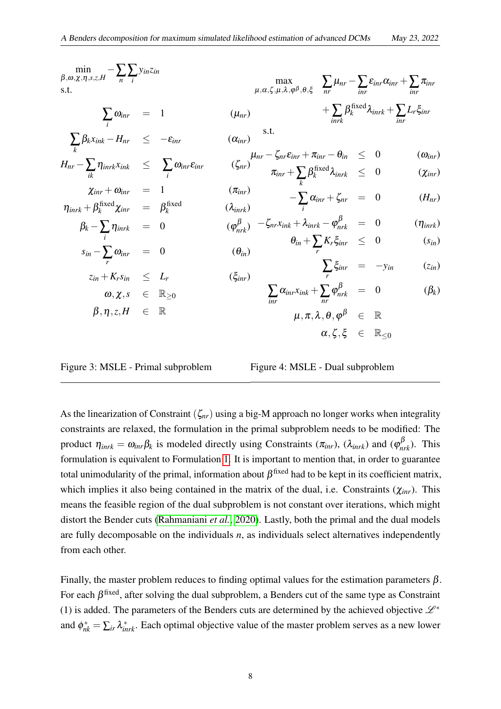| $\min_{\beta,\omega,\chi,\eta,s,z,H} - \sum_{n} \sum_{i} y_{in}z_{in}$<br>s.t.       |  |                         | $\max_{\mu,\alpha,\zeta,\mu,\lambda,\varphi^\beta,\theta,\xi} \sum_{nr} \mu_{nr} - \sum_{irr} \varepsilon_{irr} \alpha_{irr} + \sum_{irr} \pi_{irr}$ |  |                                                                                  |
|--------------------------------------------------------------------------------------|--|-------------------------|------------------------------------------------------------------------------------------------------------------------------------------------------|--|----------------------------------------------------------------------------------|
| $\sum \omega_{\text{inr}} = 1$                                                       |  | $(\mu_{nr})$            |                                                                                                                                                      |  | $\mathcal{L} + \sum \beta_k^{\text{fixed}} \lambda_{inrk} + \sum L_r \xi_{inrk}$ |
| $\sum_k \beta_k x_{ink} - H_{nr} \leq -\varepsilon_{intr}$                           |  | $(\alpha_{\text{inv}})$ | s.t.                                                                                                                                                 |  |                                                                                  |
|                                                                                      |  |                         |                                                                                                                                                      |  | $(\omega_{\text{inr}})$                                                          |
| $H_{nr} - \sum_{n} \eta_{inrk} x_{ink} \leq \sum_{n} \omega_{inr} \varepsilon_{inr}$ |  |                         | $(\zeta_{nr})^{\mu_{nr}-\zeta_{nr}\varepsilon_{inr}+\pi_{inr}-\theta_{in}} \leq 0$<br>$\pi_{inr}+\sum_k \beta_k^{\text{fixed}}\lambda_{inrk} \leq 0$ |  | $(\chi_{\text{inr}})$                                                            |
| $\chi_{inr} + \omega_{inr} = 1$                                                      |  | $(\pi_{\text{inr}})$    |                                                                                                                                                      |  |                                                                                  |
| $\eta_{inrk} + \beta_k^{\text{fixed}} \chi_{inr} = \beta_k^{\text{fixed}}$           |  | $(\lambda_{inrk})$      | $-\sum_i \alpha_{inr} + \zeta_{nr} = 0$                                                                                                              |  | $(H_{nr})$                                                                       |
| $\beta_k - \sum_i \eta_{inrk} = 0$                                                   |  |                         | $(\varphi_{nrk}^{\beta})$ $-\zeta_{nr}x_{ink} + \lambda_{nnrk} - \varphi_{nrk}^{\beta} = 0$                                                          |  | $(\eta_{inrk})$                                                                  |
| $s_{in} - \sum \omega_{inr} = 0$                                                     |  | $(\theta_{in})$         | $\theta_{in} + \sum_r K_r \xi_{inr}$ $\leq$ 0                                                                                                        |  | $(s_{in})$                                                                       |
|                                                                                      |  |                         | $\sum \xi_{inr} = -y_{in}$                                                                                                                           |  | $(z_{in})$                                                                       |
| $z_{in} + K_r s_{in} \leq L_r$                                                       |  | $(\xi_{inr})$           |                                                                                                                                                      |  |                                                                                  |
| $\omega, \chi, s \in \mathbb{R}_{\geq 0}$                                            |  |                         | $\sum_{im} \alpha_{inr} x_{ink} + \sum \varphi_{nrk}^{\beta} = 0$                                                                                    |  | $(\beta_k)$                                                                      |
| $\beta, \eta, z, H \in \mathbb{R}$                                                   |  |                         | $\mu, \pi, \lambda, \theta, \varphi^\beta \in \mathbb{R}$                                                                                            |  |                                                                                  |
|                                                                                      |  |                         | $\alpha, \zeta, \xi \in \mathbb{R}_{\leq 0}$                                                                                                         |  |                                                                                  |
|                                                                                      |  |                         |                                                                                                                                                      |  |                                                                                  |

<span id="page-9-0"></span>Figure 3: MSLE - Primal subproblem

<span id="page-9-1"></span>Figure 4: MSLE - Dual subproblem

As the linearization of Constraint (ζ*nr*) using a big-M approach no longer works when integrality constraints are relaxed, the formulation in the primal subproblem needs to be modified: The product  $\eta_{inrk} = \omega_{inr} \beta_k$  is modeled directly using Constraints ( $\pi_{inr}$ ), ( $\lambda_{inrk}$ ) and ( $\varphi_{nrk}^{\beta}$ ). This formulation is equivalent to Formulation [1.](#page-6-2) It is important to mention that, in order to guarantee total unimodularity of the primal, information about  $\beta^{\text{fixed}}$  had to be kept in its coefficient matrix, which implies it also being contained in the matrix of the dual, i.e. Constraints (χ*inr*). This means the feasible region of the dual subproblem is not constant over iterations, which might distort the Bender cuts [\(Rahmaniani](#page-25-4) *et al.*, [2020\)](#page-25-4). Lastly, both the primal and the dual models are fully decomposable on the individuals *n*, as individuals select alternatives independently from each other.

Finally, the master problem reduces to finding optimal values for the estimation parameters  $\beta$ . For each  $\beta$ <sup>fixed</sup>, after solving the dual subproblem, a Benders cut of the same type as Constraint (1) is added. The parameters of the Benders cuts are determined by the achieved objective  $\mathscr{L}^*$ and  $\phi_{nk}^* = \sum_{ir} \lambda_{inrk}^*$ . Each optimal objective value of the master problem serves as a new lower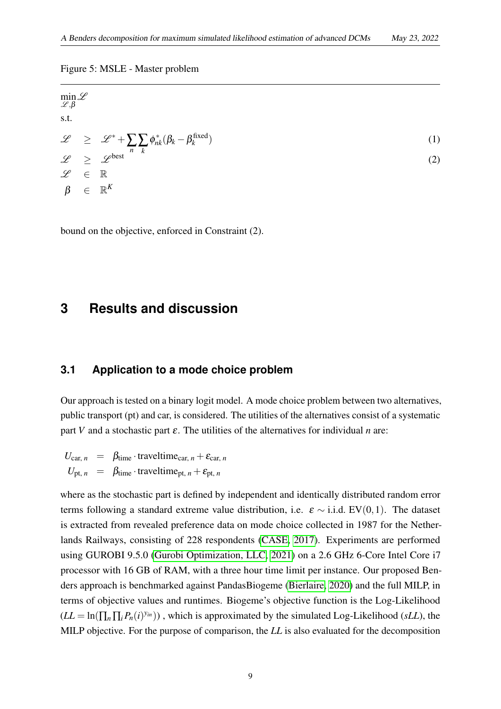#### Figure 5: MSLE - Master problem

<span id="page-10-2"></span> $\min_{\mathscr{L}} \mathscr{L}$  $\mathscr{L}, \beta$ s.t.  $\mathscr{L} \quad \geq \quad \mathscr{L}^* + \sum_n \sum_k$  $\phi_{nk}^*(\beta_k - \beta_k^{\text{fixed}})$ *k* ) (1)  $\mathscr{L} \geq \mathscr{L}^{\text{best}}$  (2)  $\mathscr{L} \in \mathbb{R}$  $\beta$   $\in$   $\mathbb{R}^K$ 

<span id="page-10-0"></span>bound on the objective, enforced in Constraint (2).

### <span id="page-10-1"></span>**3 Results and discussion**

#### **3.1 Application to a mode choice problem**

Our approach is tested on a binary logit model. A mode choice problem between two alternatives, public transport (pt) and car, is considered. The utilities of the alternatives consist of a systematic part *V* and a stochastic part  $\varepsilon$ . The utilities of the alternatives for individual *n* are:

$$
U_{\text{car}, n} = \beta_{\text{time}} \cdot \text{traveltime}_{\text{car}, n} + \varepsilon_{\text{car}, n}
$$
  

$$
U_{\text{pt}, n} = \beta_{\text{time}} \cdot \text{traveltime}_{\text{pt}, n} + \varepsilon_{\text{pt}, n}
$$

where as the stochastic part is defined by independent and identically distributed random error terms following a standard extreme value distribution, i.e.  $\varepsilon \sim$  i.i.d. EV(0,1). The dataset is extracted from revealed preference data on mode choice collected in 1987 for the Netherlands Railways, consisting of 228 respondents [\(CASE, 2017\)](#page-23-11). Experiments are performed using GUROBI 9.5.0 [\(Gurobi Optimization, LLC, 2021\)](#page-24-9) on a 2.6 GHz 6-Core Intel Core i7 processor with 16 GB of RAM, with a three hour time limit per instance. Our proposed Benders approach is benchmarked against PandasBiogeme [\(Bierlaire, 2020\)](#page-23-8) and the full MILP, in terms of objective values and runtimes. Biogeme's objective function is the Log-Likelihood  $(LL = \ln(\prod_n \prod_i P_n(i)^{y_{in}}))$ , which is approximated by the simulated Log-Likelihood (*sLL*), the MILP objective. For the purpose of comparison, the *LL* is also evaluated for the decomposition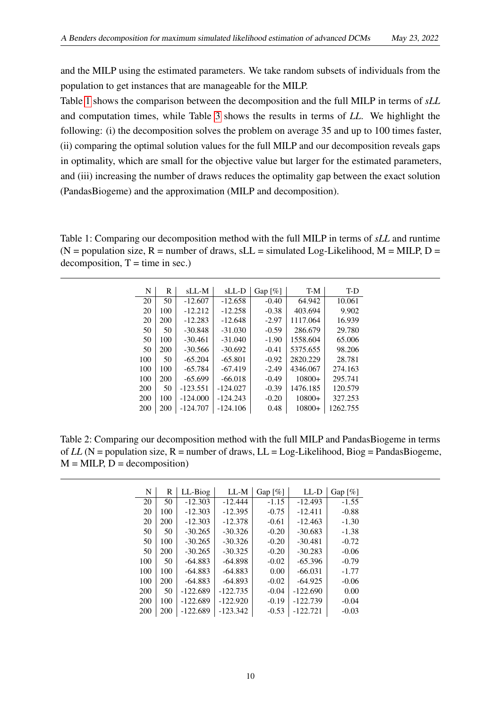and the MILP using the estimated parameters. We take random subsets of individuals from the population to get instances that are manageable for the MILP.

Table [1](#page-11-0) shows the comparison between the decomposition and the full MILP in terms of *sLL* and computation times, while Table [3](#page-12-1) shows the results in terms of *LL*. We highlight the following: (i) the decomposition solves the problem on average 35 and up to 100 times faster, (ii) comparing the optimal solution values for the full MILP and our decomposition reveals gaps in optimality, which are small for the objective value but larger for the estimated parameters, and (iii) increasing the number of draws reduces the optimality gap between the exact solution (PandasBiogeme) and the approximation (MILP and decomposition).

<span id="page-11-0"></span>Table 1: Comparing our decomposition method with the full MILP in terms of *sLL* and runtime  $(N = population size, R = number of draws, sLL = simulated Log-Likelihood, M = MILP, D =$  $decomposition, T = time in sec.)$ 

| N   | R   | sLL-M      | $SLL-D$    | Gap $\lceil\% \rceil$ | T-M      | T-D      |
|-----|-----|------------|------------|-----------------------|----------|----------|
| 20  | 50  | $-12.607$  | $-12.658$  | $-0.40$               | 64.942   | 10.061   |
| 20  | 100 | $-12.212$  | $-12.258$  | $-0.38$               | 403.694  | 9.902    |
| 20  | 200 | $-12.283$  | $-12.648$  | $-2.97$               | 1117.064 | 16.939   |
| 50  | 50  | $-30.848$  | $-31.030$  | $-0.59$               | 286.679  | 29.780   |
| 50  | 100 | $-30.461$  | $-31.040$  | $-1.90$               | 1558.604 | 65.006   |
| 50  | 200 | $-30.566$  | $-30.692$  | $-0.41$               | 5375.655 | 98.206   |
| 100 | 50  | $-65.204$  | $-65.801$  | $-0.92$               | 2820.229 | 28.781   |
| 100 | 100 | $-65.784$  | $-67.419$  | $-2.49$               | 4346.067 | 274.163  |
| 100 | 200 | $-65.699$  | $-66.018$  | $-0.49$               | $10800+$ | 295.741  |
| 200 | 50  | $-123.551$ | $-124.027$ | $-0.39$               | 1476.185 | 120.579  |
| 200 | 100 | $-124.000$ | $-124.243$ | $-0.20$               | $10800+$ | 327.253  |
| 200 | 200 | $-124.707$ | $-124.106$ | 0.48                  | $10800+$ | 1262.755 |
|     |     |            |            |                       |          |          |

<span id="page-11-1"></span>Table 2: Comparing our decomposition method with the full MILP and PandasBiogeme in terms of  $LL$  (N = population size, R = number of draws,  $LL$  = Log-Likelihood, Biog = PandasBiogeme,  $M = MILP$ ,  $D = decomposition$ )

| N   | R   | LL-Biog    | LL-M       | Gap $\lceil\% \rceil$ | $LL-D$     | Gap $\lceil \% \rceil$ |
|-----|-----|------------|------------|-----------------------|------------|------------------------|
| 20  | 50  | $-12.303$  | $-12.444$  | $-1.15$               | $-12.493$  | $-1.55$                |
| 20  | 100 | $-12.303$  | $-12.395$  | $-0.75$               | $-12.411$  | $-0.88$                |
| 20  | 200 | $-12.303$  | $-12.378$  | $-0.61$               | $-12.463$  | $-1.30$                |
| 50  | 50  | $-30.265$  | $-30.326$  | $-0.20$               | $-30.683$  | $-1.38$                |
| 50  | 100 | $-30.265$  | $-30.326$  | $-0.20$               | $-30.481$  | $-0.72$                |
| 50  | 200 | $-30.265$  | $-30.325$  | $-0.20$               | $-30.283$  | $-0.06$                |
| 100 | 50  | $-64.883$  | $-64.898$  | $-0.02$               | $-65.396$  | $-0.79$                |
| 100 | 100 | $-64.883$  | $-64.883$  | 0.00                  | $-66.031$  | $-1.77$                |
| 100 | 200 | $-64.883$  | $-64.893$  | $-0.02$               | $-64.925$  | $-0.06$                |
| 200 | 50  | $-122.689$ | $-122.735$ | $-0.04$               | $-122.690$ | 0.00                   |
| 200 | 100 | $-122.689$ | $-122.920$ | $-0.19$               | $-122.739$ | $-0.04$                |
| 200 | 200 | $-122.689$ | $-123.342$ | $-0.53$               | $-122.721$ | $-0.03$                |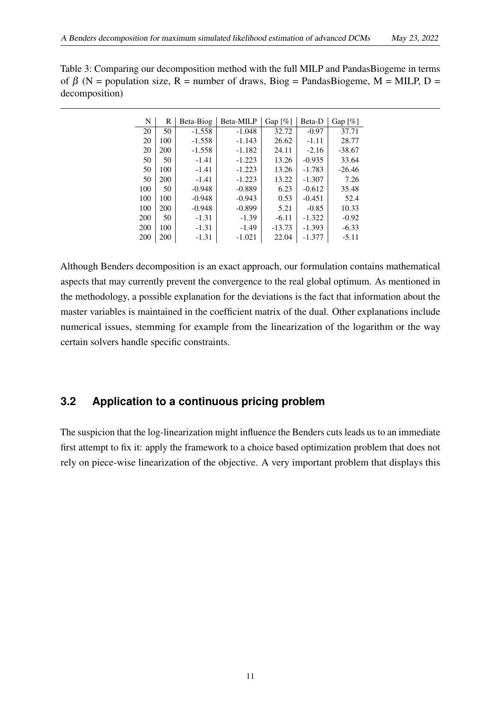<span id="page-12-1"></span>

| Table 3: Comparing our decomposition method with the full MILP and PandasBiogeme in terms |
|-------------------------------------------------------------------------------------------|
| of $\beta$ (N = population size, R = number of draws, Biog = PandasBiogeme, M = MILP, D = |
| decomposition)                                                                            |

| N   | R   | Beta-Biog | Beta-MILP | Gap $[\%]$ | Beta-D   | Gap $\lceil\% \rceil$ |
|-----|-----|-----------|-----------|------------|----------|-----------------------|
| 20  | 50  | $-1.558$  | $-1.048$  | 32.72      | $-0.97$  | 37.71                 |
| 20  | 100 | $-1.558$  | $-1.143$  | 26.62      | $-1.11$  | 28.77                 |
| 20  | 200 | $-1.558$  | $-1.182$  | 24.11      | $-2.16$  | $-38.67$              |
| 50  | 50  | $-1.41$   | $-1.223$  | 13.26      | $-0.935$ | 33.64                 |
| 50  | 100 | $-1.41$   | $-1.223$  | 13.26      | $-1.783$ | $-26.46$              |
| 50  | 200 | $-1.41$   | $-1.223$  | 13.22      | $-1.307$ | 7.26                  |
| 100 | 50  | $-0.948$  | $-0.889$  | 6.23       | $-0.612$ | 35.48                 |
| 100 | 100 | $-0.948$  | $-0.943$  | 0.53       | $-0.451$ | 52.4                  |
| 100 | 200 | $-0.948$  | $-0.899$  | 5.21       | $-0.85$  | 10.33                 |
| 200 | 50  | $-1.31$   | $-1.39$   | $-6.11$    | $-1.322$ | $-0.92$               |
| 200 | 100 | $-1.31$   | $-1.49$   | $-13.73$   | $-1.393$ | $-6.33$               |
| 200 | 200 | $-1.31$   | $-1.021$  | 22.04      | $-1.377$ | $-5.11$               |

Although Benders decomposition is an exact approach, our formulation contains mathematical aspects that may currently prevent the convergence to the real global optimum. As mentioned in the methodology, a possible explanation for the deviations is the fact that information about the master variables is maintained in the coefficient matrix of the dual. Other explanations include numerical issues, stemming for example from the linearization of the logarithm or the way certain solvers handle specific constraints.

### <span id="page-12-0"></span>**3.2 Application to a continuous pricing problem**

The suspicion that the log-linearization might influence the Benders cuts leads us to an immediate first attempt to fix it: apply the framework to a choice based optimization problem that does not rely on piece-wise linearization of the objective. A very important problem that displays this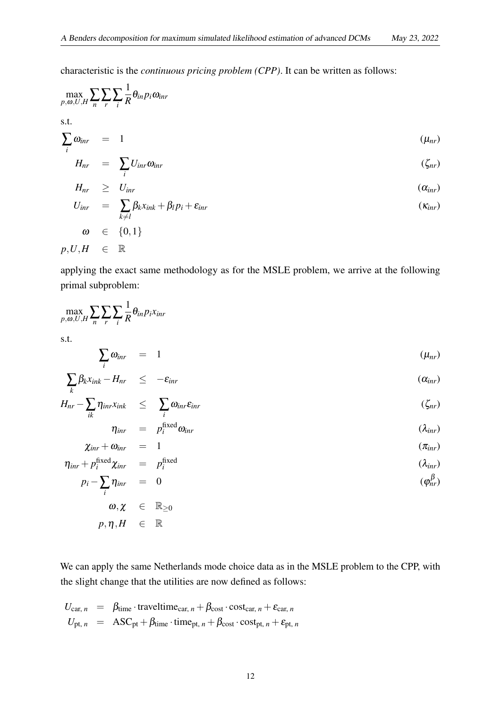characteristic is the *continuous pricing problem (CPP)*. It can be written as follows:

$$
\max_{p,\omega,U,H} \sum_{n} \sum_{r} \sum_{i} \frac{1}{R} \theta_{in} p_{i} \omega_{inr}
$$
\ns.t.\n
$$
\sum_{i} \omega_{inr} = 1
$$
\n
$$
H_{nr} = \sum_{i} U_{inr} \omega_{inr}
$$
\n
$$
H_{nr} \geq U_{inr}
$$
\n
$$
U_{inr} = \sum_{k \neq l} \beta_{k} x_{ink} + \beta_{l} p_{i} + \varepsilon_{inr}
$$
\n
$$
\omega \in \{0,1\}
$$
\n
$$
p, U, H \in \mathbb{R}
$$
\n
$$
(x_{inr})
$$

applying the exact same methodology as for the MSLE problem, we arrive at the following primal subproblem:

$$
\max_{p,\omega,U,H} \sum_{n} \sum_{r} \sum_{i} \frac{1}{R} \theta_{in} p_i x_{inr}
$$

s.t.

$$
\sum_{i} \omega_{inr} = 1 \qquad (\mu_{nr})
$$

$$
\sum_{k} \beta_{k} x_{ink} - H_{nr} \leq -\varepsilon_{inr} \tag{a_{inr}}
$$

$$
H_{nr} - \sum_{ik} \eta_{inr} x_{ink} \leq \sum_{i} \omega_{inr} \varepsilon_{inr}
$$
 (ζ<sub>nr</sub>)

$$
\eta_{\text{inr}} = p_i^{\text{fixed}} \omega_{\text{inr}} \qquad (\lambda_{\text{inr}})
$$

$$
\chi_{\text{inr}} + \omega_{\text{inr}} = 1 \qquad (\pi_{\text{inr}})
$$
  

$$
\eta_{\text{inr}} + p_i^{\text{fixed}} \chi_{\text{inr}} = p_i^{\text{fixed}} \qquad (\lambda_{\text{inr}})
$$

$$
p_i - \sum_i \eta_{inr} = 0 \qquad (\varphi_{nr}^{\beta})
$$

$$
\begin{array}{rcl} \varpi,\chi & \in & \mathbb{R}_{\geq 0} \\ p,\eta,H & \in & \mathbb{R} \end{array}
$$

We can apply the same Netherlands mode choice data as in the MSLE problem to the CPP, with the slight change that the utilities are now defined as follows:

$$
U_{\text{car}, n} = \beta_{\text{time}} \cdot \text{traveltime}_{\text{car}, n} + \beta_{\text{cost}} \cdot \text{cost}_{\text{car}, n} + \varepsilon_{\text{car}, n}
$$
  

$$
U_{\text{pt}, n} = \text{ASC}_{\text{pt}} + \beta_{\text{time}} \cdot \text{time}_{\text{pt}, n} + \beta_{\text{cost}} \cdot \text{cost}_{\text{pt}, n} + \varepsilon_{\text{pt}, n}
$$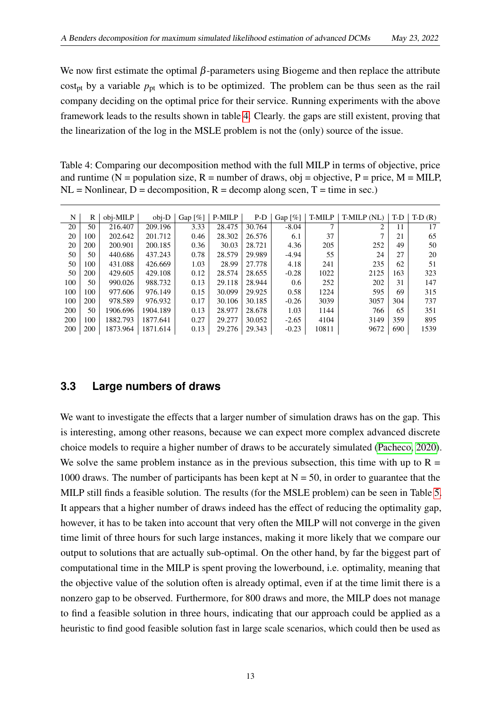We now first estimate the optimal  $\beta$ -parameters using Biogeme and then replace the attribute cost<sub>pt</sub> by a variable  $p_{\text{pt}}$  which is to be optimized. The problem can be thus seen as the rail company deciding on the optimal price for their service. Running experiments with the above framework leads to the results shown in table [4.](#page-14-1) Clearly. the gaps are still existent, proving that the linearization of the log in the MSLE problem is not the (only) source of the issue.

Table 4: Comparing our decomposition method with the full MILP in terms of objective, price and runtime ( $N =$  population size,  $R =$  number of draws, obj = objective,  $P =$  price,  $M =$  MILP,  $NL =$  Nonlinear,  $D =$  decomposition,  $R =$  decomp along scen,  $T =$  time in sec.)

<span id="page-14-1"></span>

| N   | R   | obj-MILP | $obj-D$  | Gap $\lceil \% \rceil$ | P-MILP | $P-D$  | Gap $\lceil\% \rceil$ | T-MILP | $T-MILP(NL)$ | T-D | $T-D(R)$ |
|-----|-----|----------|----------|------------------------|--------|--------|-----------------------|--------|--------------|-----|----------|
| 20  | 50  | 216.407  | 209.196  | 3.33                   | 28.475 | 30.764 | $-8.04$               | ⇁      | 2            | 11  | 17       |
| 20  | 100 | 202.642  | 201.712  | 0.46                   | 28.302 | 26.576 | 6.1                   | 37     |              | 21  | 65       |
| 20  | 200 | 200.901  | 200.185  | 0.36                   | 30.03  | 28.721 | 4.36                  | 205    | 252          | 49  | 50       |
| 50  | 50  | 440.686  | 437.243  | 0.78                   | 28.579 | 29.989 | $-4.94$               | 55     | 24           | 27  | 20       |
| 50  | 100 | 431.088  | 426.669  | 1.03                   | 28.99  | 27.778 | 4.18                  | 241    | 235          | 62  | 51       |
| 50  | 200 | 429.605  | 429.108  | 0.12                   | 28.574 | 28.655 | $-0.28$               | 1022   | 2125         | 163 | 323      |
| 100 | 50  | 990.026  | 988.732  | 0.13                   | 29.118 | 28.944 | 0.6                   | 252    | 202          | 31  | 147      |
| 100 | 100 | 977.606  | 976.149  | 0.15                   | 30.099 | 29.925 | 0.58                  | 1224   | 595          | 69  | 315      |
| 100 | 200 | 978.589  | 976.932  | 0.17                   | 30.106 | 30.185 | $-0.26$               | 3039   | 3057         | 304 | 737      |
| 200 | 50  | 1906.696 | 1904.189 | 0.13                   | 28.977 | 28.678 | 1.03                  | 1144   | 766          | 65  | 351      |
| 200 | 100 | 1882.793 | 1877.641 | 0.27                   | 29.277 | 30.052 | $-2.65$               | 4104   | 3149         | 359 | 895      |
| 200 | 200 | 1873.964 | 1871.614 | 0.13                   | 29.276 | 29.343 | $-0.23$               | 10811  | 9672         | 690 | 1539     |

#### <span id="page-14-0"></span>**3.3 Large numbers of draws**

We want to investigate the effects that a larger number of simulation draws has on the gap. This is interesting, among other reasons, because we can expect more complex advanced discrete choice models to require a higher number of draws to be accurately simulated [\(Pacheco, 2020\)](#page-25-12). We solve the same problem instance as in the previous subsection, this time with up to  $R =$ 1000 draws. The number of participants has been kept at  $N = 50$ , in order to guarantee that the MILP still finds a feasible solution. The results (for the MSLE problem) can be seen in Table [5.](#page-15-1) It appears that a higher number of draws indeed has the effect of reducing the optimality gap, however, it has to be taken into account that very often the MILP will not converge in the given time limit of three hours for such large instances, making it more likely that we compare our output to solutions that are actually sub-optimal. On the other hand, by far the biggest part of computational time in the MILP is spent proving the lowerbound, i.e. optimality, meaning that the objective value of the solution often is already optimal, even if at the time limit there is a nonzero gap to be observed. Furthermore, for 800 draws and more, the MILP does not manage to find a feasible solution in three hours, indicating that our approach could be applied as a heuristic to find good feasible solution fast in large scale scenarios, which could then be used as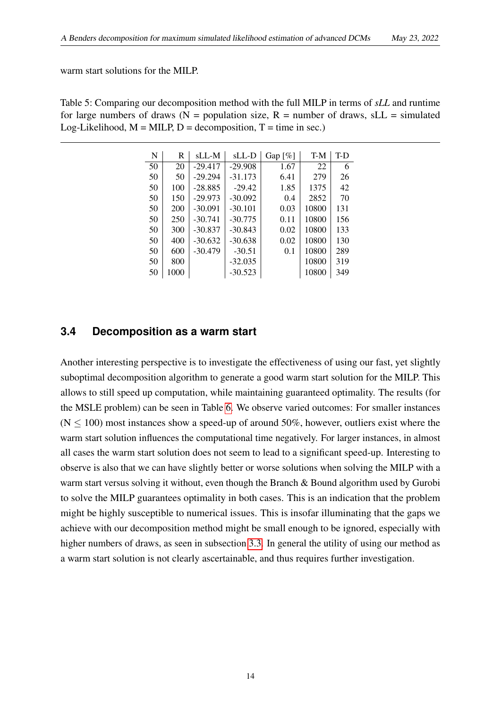warm start solutions for the MILP.

<span id="page-15-1"></span>Table 5: Comparing our decomposition method with the full MILP in terms of *sLL* and runtime for large numbers of draws ( $N =$  population size,  $R =$  number of draws, sLL = simulated Log-Likelihood,  $M = MILP$ ,  $D = decomposition$ ,  $T = time$  in sec.)

| N  | R    | sLL-M     | sLL-D     | Gap $\lceil\% \rceil$ | T-M   | T-D |
|----|------|-----------|-----------|-----------------------|-------|-----|
| 50 | 20   | $-29.417$ | $-29.908$ | 1.67                  | 22    | 6   |
| 50 | 50   | $-29.294$ | $-31.173$ | 6.41                  | 279   | 26  |
| 50 | 100  | $-28.885$ | $-29.42$  | 1.85                  | 1375  | 42  |
| 50 | 150  | $-29.973$ | $-30.092$ | 0.4                   | 2852  | 70  |
| 50 | 200  | $-30.091$ | $-30.101$ | 0.03                  | 10800 | 131 |
| 50 | 250  | $-30.741$ | $-30.775$ | 0.11                  | 10800 | 156 |
| 50 | 300  | $-30.837$ | $-30.843$ | 0.02                  | 10800 | 133 |
| 50 | 400  | $-30.632$ | $-30.638$ | 0.02                  | 10800 | 130 |
| 50 | 600  | $-30.479$ | $-30.51$  | 0.1                   | 10800 | 289 |
| 50 | 800  |           | $-32.035$ |                       | 10800 | 319 |
| 50 | 1000 |           | $-30.523$ |                       | 10800 | 349 |

#### <span id="page-15-0"></span>**3.4 Decomposition as a warm start**

Another interesting perspective is to investigate the effectiveness of using our fast, yet slightly suboptimal decomposition algorithm to generate a good warm start solution for the MILP. This allows to still speed up computation, while maintaining guaranteed optimality. The results (for the MSLE problem) can be seen in Table [6.](#page-16-0) We observe varied outcomes: For smaller instances  $(N \le 100)$  most instances show a speed-up of around 50%, however, outliers exist where the warm start solution influences the computational time negatively. For larger instances, in almost all cases the warm start solution does not seem to lead to a significant speed-up. Interesting to observe is also that we can have slightly better or worse solutions when solving the MILP with a warm start versus solving it without, even though the Branch & Bound algorithm used by Gurobi to solve the MILP guarantees optimality in both cases. This is an indication that the problem might be highly susceptible to numerical issues. This is insofar illuminating that the gaps we achieve with our decomposition method might be small enough to be ignored, especially with higher numbers of draws, as seen in subsection [3.3.](#page-14-0) In general the utility of using our method as a warm start solution is not clearly ascertainable, and thus requires further investigation.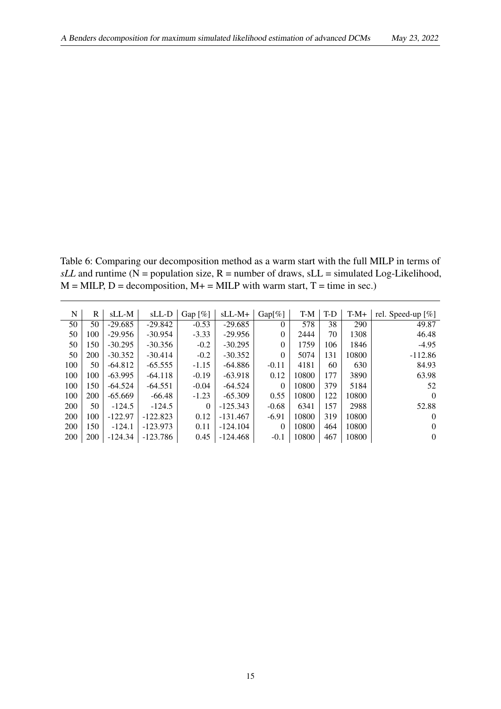Table 6: Comparing our decomposition method as a warm start with the full MILP in terms of  $sLL$  and runtime (N = population size, R = number of draws,  $sLL$  = simulated Log-Likelihood,  $M = MILP$ ,  $D = decomposition$ ,  $M + = MILP$  with warm start,  $T = time$  in sec.)

<span id="page-16-0"></span>

| N          | R   | sLL-M     | $SLL-D$    | Gap $\lceil\% \rceil$ | $SLL-M+$   | $Gap[\%]$ | T-M   | T-D | $T-M+$ | rel. Speed-up $[\%]$ |
|------------|-----|-----------|------------|-----------------------|------------|-----------|-------|-----|--------|----------------------|
| 50         | 50  | $-29.685$ | $-29.842$  | $-0.53$               | $-29.685$  | $\Omega$  | 578   | 38  | 290    | 49.87                |
| 50         | 100 | $-29.956$ | $-30.954$  | $-3.33$               | $-29.956$  | $\Omega$  | 2444  | 70  | 1308   | 46.48                |
| 50         | 150 | $-30.295$ | $-30.356$  | $-0.2$                | $-30.295$  | $\theta$  | 1759  | 106 | 1846   | $-4.95$              |
| 50         | 200 | $-30.352$ | $-30.414$  | $-0.2$                | $-30.352$  | $\Omega$  | 5074  | 131 | 10800  | $-112.86$            |
| 100        | 50  | $-64.812$ | $-65.555$  | $-1.15$               | $-64.886$  | $-0.11$   | 4181  | 60  | 630    | 84.93                |
| 100        | 100 | $-63.995$ | $-64.118$  | $-0.19$               | $-63.918$  | 0.12      | 10800 | 177 | 3890   | 63.98                |
| 100        | 150 | $-64.524$ | $-64.551$  | $-0.04$               | -64.524    | $\Omega$  | 10800 | 379 | 5184   | 52                   |
| 100        | 200 | $-65.669$ | $-66.48$   | $-1.23$               | $-65.309$  | 0.55      | 10800 | 122 | 10800  | $\Omega$             |
| <b>200</b> | 50  | $-124.5$  | $-124.5$   | $\Omega$              | $-125.343$ | $-0.68$   | 6341  | 157 | 2988   | 52.88                |
| 200        | 100 | $-122.97$ | $-122.823$ | 0.12                  | $-131.467$ | $-6.91$   | 10800 | 319 | 10800  | $\Omega$             |
| 200        | 150 | $-124.1$  | $-123.973$ | 0.11                  | $-124.104$ | $\Omega$  | 10800 | 464 | 10800  | $\Omega$             |
| 200        | 200 | $-124.34$ | $-123.786$ | 0.45                  | $-124.468$ | $-0.1$    | 10800 | 467 | 10800  | $\theta$             |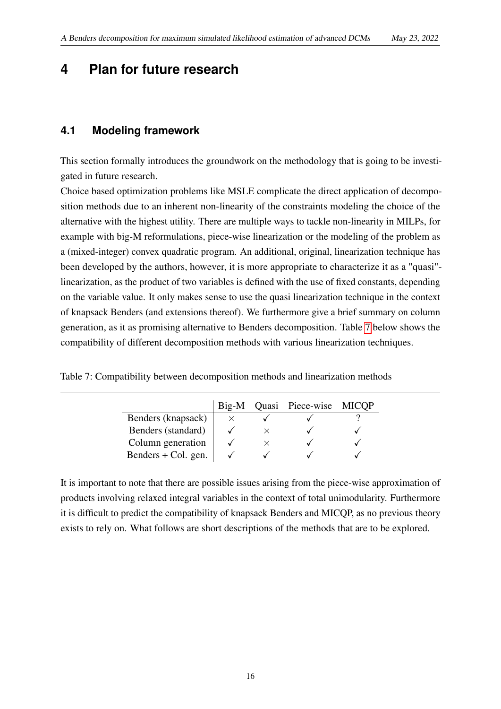### <span id="page-17-1"></span><span id="page-17-0"></span>**4 Plan for future research**

#### **4.1 Modeling framework**

This section formally introduces the groundwork on the methodology that is going to be investigated in future research.

Choice based optimization problems like MSLE complicate the direct application of decomposition methods due to an inherent non-linearity of the constraints modeling the choice of the alternative with the highest utility. There are multiple ways to tackle non-linearity in MILPs, for example with big-M reformulations, piece-wise linearization or the modeling of the problem as a (mixed-integer) convex quadratic program. An additional, original, linearization technique has been developed by the authors, however, it is more appropriate to characterize it as a "quasi" linearization, as the product of two variables is defined with the use of fixed constants, depending on the variable value. It only makes sense to use the quasi linearization technique in the context of knapsack Benders (and extensions thereof). We furthermore give a brief summary on column generation, as it as promising alternative to Benders decomposition. Table [7](#page-17-2) below shows the compatibility of different decomposition methods with various linearization techniques.

<span id="page-17-2"></span>

| Table 7: Compatibility between decomposition methods and linearization methods |  |  |  |
|--------------------------------------------------------------------------------|--|--|--|
|                                                                                |  |  |  |

|                     | $Big-M$ | Quasi Piece-wise MICQP |  |
|---------------------|---------|------------------------|--|
| Benders (knapsack)  |         |                        |  |
| Benders (standard)  |         |                        |  |
| Column generation   |         |                        |  |
| Benders + Col. gen. |         |                        |  |

It is important to note that there are possible issues arising from the piece-wise approximation of products involving relaxed integral variables in the context of total unimodularity. Furthermore it is difficult to predict the compatibility of knapsack Benders and MICQP, as no previous theory exists to rely on. What follows are short descriptions of the methods that are to be explored.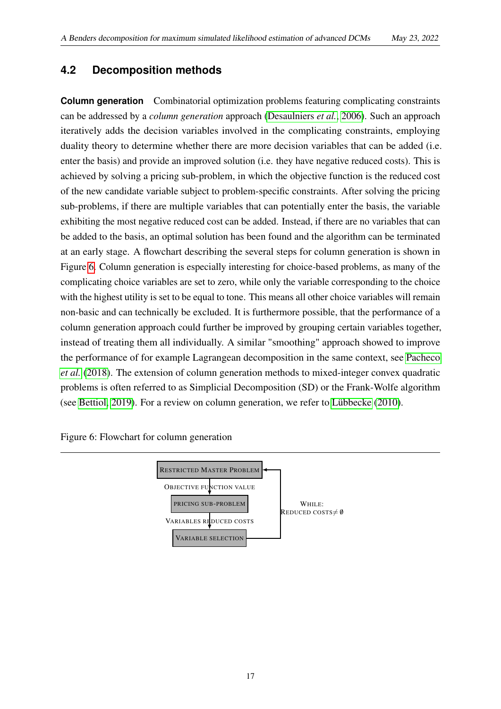### <span id="page-18-0"></span>**4.2 Decomposition methods**

**Column generation** Combinatorial optimization problems featuring complicating constraints can be addressed by a *column generation* approach [\(Desaulniers](#page-23-3) *et al.*, [2006\)](#page-23-3). Such an approach iteratively adds the decision variables involved in the complicating constraints, employing duality theory to determine whether there are more decision variables that can be added (i.e. enter the basis) and provide an improved solution (i.e. they have negative reduced costs). This is achieved by solving a pricing sub-problem, in which the objective function is the reduced cost of the new candidate variable subject to problem-specific constraints. After solving the pricing sub-problems, if there are multiple variables that can potentially enter the basis, the variable exhibiting the most negative reduced cost can be added. Instead, if there are no variables that can be added to the basis, an optimal solution has been found and the algorithm can be terminated at an early stage. A flowchart describing the several steps for column generation is shown in Figure [6.](#page-18-1) Column generation is especially interesting for choice-based problems, as many of the complicating choice variables are set to zero, while only the variable corresponding to the choice with the highest utility is set to be equal to tone. This means all other choice variables will remain non-basic and can technically be excluded. It is furthermore possible, that the performance of a column generation approach could further be improved by grouping certain variables together, instead of treating them all individually. A similar "smoothing" approach showed to improve the performance of for example Lagrangean decomposition in the same context, see [Pacheco](#page-25-9) *[et al.](#page-25-9)* [\(2018\)](#page-25-9). The extension of column generation methods to mixed-integer convex quadratic problems is often referred to as Simplicial Decomposition (SD) or the Frank-Wolfe algorithm (see [Bettiol, 2019\)](#page-23-12). For a review on column generation, we refer to [Lübbecke](#page-24-10) [\(2010\)](#page-24-10).

<span id="page-18-1"></span>Figure 6: Flowchart for column generation

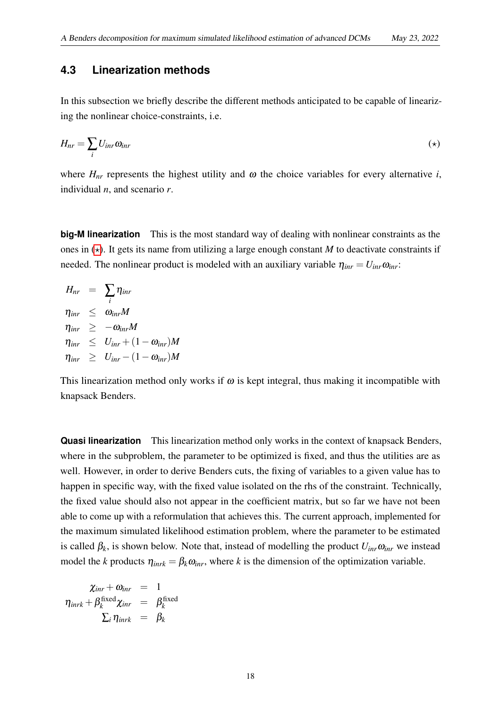#### <span id="page-19-0"></span>**4.3 Linearization methods**

In this subsection we briefly describe the different methods anticipated to be capable of linearizing the nonlinear choice-constraints, i.e.

<span id="page-19-1"></span>
$$
H_{nr} = \sum_{i} U_{inr} \omega_{inr} \tag{(*)}
$$

where  $H_{nr}$  represents the highest utility and  $\omega$  the choice variables for every alternative *i*, individual *n*, and scenario *r*.

**big-M linearization** This is the most standard way of dealing with nonlinear constraints as the ones in  $(\star)$ . It gets its name from utilizing a large enough constant *M* to deactivate constraints if needed. The nonlinear product is modeled with an auxiliary variable  $\eta_{\text{inr}} = U_{\text{inr}} \omega_{\text{inr}}$ .

$$
H_{nr} = \sum_{i} \eta_{inr}
$$
  
\n
$$
\eta_{inr} \leq \omega_{inr} M
$$
  
\n
$$
\eta_{inr} \geq -\omega_{inr} M
$$
  
\n
$$
\eta_{inr} \leq U_{inr} + (1 - \omega_{inr}) M
$$
  
\n
$$
\eta_{inr} \geq U_{inr} - (1 - \omega_{inr}) M
$$

This linearization method only works if  $\omega$  is kept integral, thus making it incompatible with knapsack Benders.

**Quasi linearization** This linearization method only works in the context of knapsack Benders, where in the subproblem, the parameter to be optimized is fixed, and thus the utilities are as well. However, in order to derive Benders cuts, the fixing of variables to a given value has to happen in specific way, with the fixed value isolated on the rhs of the constraint. Technically, the fixed value should also not appear in the coefficient matrix, but so far we have not been able to come up with a reformulation that achieves this. The current approach, implemented for the maximum simulated likelihood estimation problem, where the parameter to be estimated is called  $\beta_k$ , is shown below. Note that, instead of modelling the product  $U_{inr}\omega_{inr}$  we instead model the *k* products  $\eta_{inrk} = \beta_k \omega_{inr}$ , where *k* is the dimension of the optimization variable.

$$
\begin{array}{rcl}\n\chi_{inr} + \omega_{inr} & = & 1 \\
\eta_{inrk} + \beta_k^{\text{fixed}} \chi_{inr} & = & \beta_k^{\text{fixed}} \\
\sum_i \eta_{inrk} & = & \beta_k\n\end{array}
$$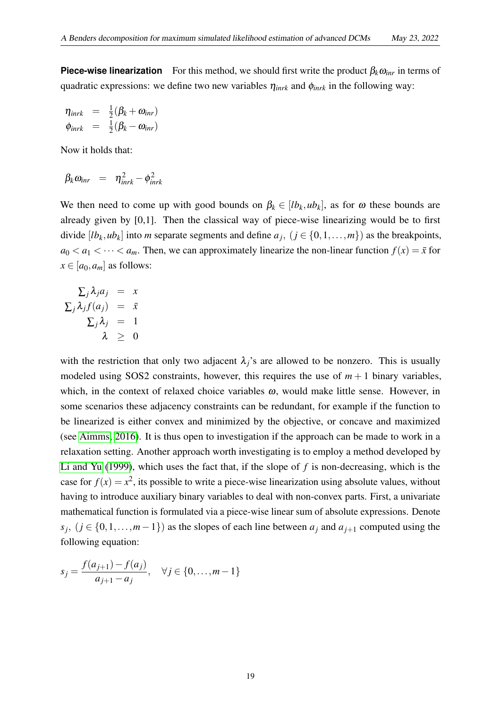**Piece-wise linearization** For this method, we should first write the product  $\beta_k \omega_{\text{irr}}$  in terms of quadratic expressions: we define two new variables η*inrk* and φ*inrk* in the following way:

$$
\eta_{inrk} = \frac{1}{2}(\beta_k + \omega_{inr})
$$
  
\n
$$
\phi_{inrk} = \frac{1}{2}(\beta_k - \omega_{inr})
$$

Now it holds that:

$$
\beta_k \omega_{\text{inr}} = \eta_{\text{inrk}}^2 - \phi_{\text{inrk}}^2
$$

We then need to come up with good bounds on  $\beta_k \in [lb_k, ub_k]$ , as for  $\omega$  these bounds are already given by [0,1]. Then the classical way of piece-wise linearizing would be to first divide [ $lb_k, ub_k$ ] into *m* separate segments and define  $a_j$ ,  $(j \in \{0, 1, ..., m\})$  as the breakpoints,  $a_0 < a_1 < \cdots < a_m$ . Then, we can approximately linearize the non-linear function  $f(x) = \bar{x}$  for  $x \in [a_0, a_m]$  as follows:

$$
\Sigma_j \lambda_j a_j = x
$$
  
\n
$$
\Sigma_j \lambda_j f(a_j) = \bar{x}
$$
  
\n
$$
\Sigma_j \lambda_j = 1
$$
  
\n
$$
\lambda \geq 0
$$

with the restriction that only two adjacent  $\lambda_i$ 's are allowed to be nonzero. This is usually modeled using SOS2 constraints, however, this requires the use of  $m+1$  binary variables, which, in the context of relaxed choice variables  $\omega$ , would make little sense. However, in some scenarios these adjacency constraints can be redundant, for example if the function to be linearized is either convex and minimized by the objective, or concave and maximized (see [Aimms, 2016\)](#page-22-4). It is thus open to investigation if the approach can be made to work in a relaxation setting. Another approach worth investigating is to employ a method developed by [Li and Yu](#page-24-11) [\(1999\)](#page-24-11), which uses the fact that, if the slope of *f* is non-decreasing, which is the case for  $f(x) = x^2$ , its possible to write a piece-wise linearization using absolute values, without having to introduce auxiliary binary variables to deal with non-convex parts. First, a univariate mathematical function is formulated via a piece-wise linear sum of absolute expressions. Denote *s*<sup>*j*</sup>, (*j* ∈ {0,1,...,*m*−1}) as the slopes of each line between *a<sub>j</sub>* and *a*<sub>*j*+1</sub> computed using the following equation:

$$
s_j = \frac{f(a_{j+1}) - f(a_j)}{a_{j+1} - a_j}, \quad \forall j \in \{0, \dots, m-1\}
$$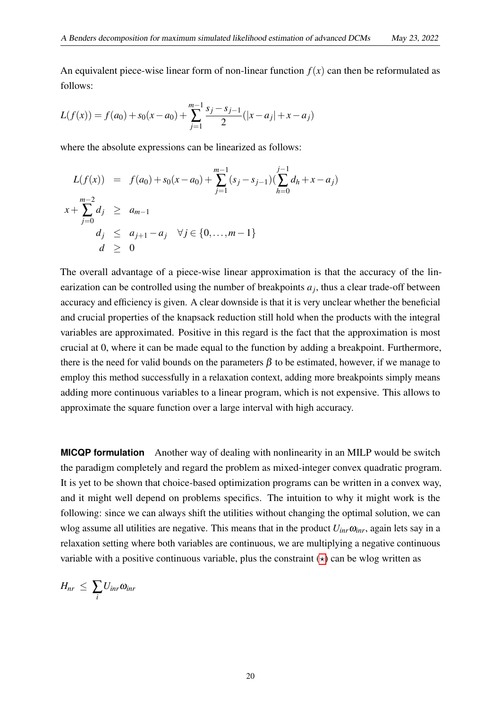An equivalent piece-wise linear form of non-linear function  $f(x)$  can then be reformulated as follows:

$$
L(f(x)) = f(a_0) + s_0(x - a_0) + \sum_{j=1}^{m-1} \frac{s_j - s_{j-1}}{2}(|x - a_j| + x - a_j)
$$

where the absolute expressions can be linearized as follows:

$$
L(f(x)) = f(a_0) + s_0(x - a_0) + \sum_{j=1}^{m-1} (s_j - s_{j-1})(\sum_{h=0}^{j-1} d_h + x - a_j)
$$
  

$$
x + \sum_{j=0}^{m-2} d_j \ge a_{m-1}
$$
  

$$
d_j \le a_{j+1} - a_j \quad \forall j \in \{0, ..., m-1\}
$$
  

$$
d \ge 0
$$

The overall advantage of a piece-wise linear approximation is that the accuracy of the linearization can be controlled using the number of breakpoints  $a_j$ , thus a clear trade-off between accuracy and efficiency is given. A clear downside is that it is very unclear whether the beneficial and crucial properties of the knapsack reduction still hold when the products with the integral variables are approximated. Positive in this regard is the fact that the approximation is most crucial at 0, where it can be made equal to the function by adding a breakpoint. Furthermore, there is the need for valid bounds on the parameters  $\beta$  to be estimated, however, if we manage to employ this method successfully in a relaxation context, adding more breakpoints simply means adding more continuous variables to a linear program, which is not expensive. This allows to approximate the square function over a large interval with high accuracy.

**MICQP formulation** Another way of dealing with nonlinearity in an MILP would be switch the paradigm completely and regard the problem as mixed-integer convex quadratic program. It is yet to be shown that choice-based optimization programs can be written in a convex way, and it might well depend on problems specifics. The intuition to why it might work is the following: since we can always shift the utilities without changing the optimal solution, we can wlog assume all utilities are negative. This means that in the product  $U_{inr}\omega_{inr}$ , again lets say in a relaxation setting where both variables are continuous, we are multiplying a negative continuous variable with a positive continuous variable, plus the constraint  $(\star)$  can be wlog written as

$$
H_{nr} \leq \sum_i U_{inr} \omega_{inr}
$$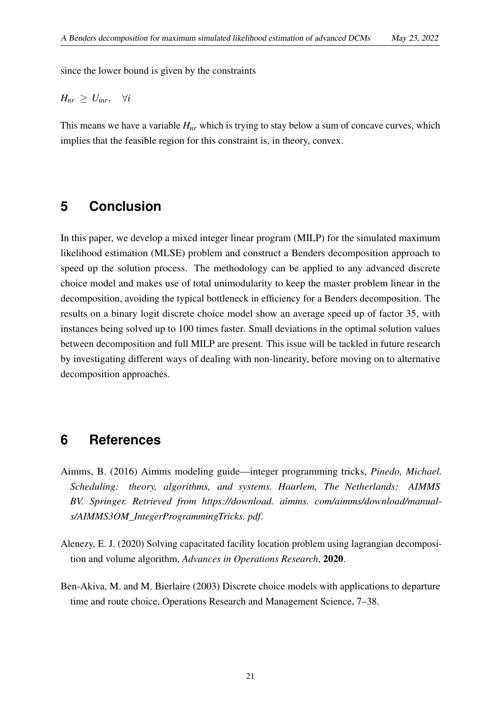since the lower bound is given by the constraints

$$
H_{nr} \geq U_{inr}, \quad \forall i
$$

<span id="page-22-0"></span>This means we have a variable  $H_{nr}$  which is trying to stay below a sum of concave curves, which implies that the feasible region for this constraint is, in theory, convex.

### **5 Conclusion**

In this paper, we develop a mixed integer linear program (MILP) for the simulated maximum likelihood estimation (MLSE) problem and construct a Benders decomposition approach to speed up the solution process. The methodology can be applied to any advanced discrete choice model and makes use of total unimodularity to keep the master problem linear in the decomposition, avoiding the typical bottleneck in efficiency for a Benders decomposition. The results on a binary logit discrete choice model show an average speed up of factor 35, with instances being solved up to 100 times faster. Small deviations in the optimal solution values between decomposition and full MILP are present. This issue will be tackled in future research by investigating different ways of dealing with non-linearity, before moving on to alternative decomposition approaches.

### <span id="page-22-1"></span>**6 References**

- <span id="page-22-4"></span>Aimms, B. (2016) Aimms modeling guide—integer programming tricks, *Pinedo, Michael. Scheduling: theory, algorithms, and systems. Haarlem, The Netherlands: AIMMS BV. Springer. Retrieved from https://download. aimms. com/aimms/download/manuals/AIMMS3OM\_IntegerProgrammingTricks. pdf*.
- <span id="page-22-3"></span>Alenezy, E. J. (2020) Solving capacitated facility location problem using lagrangian decomposition and volume algorithm, *Advances in Operations Research*, 2020.
- <span id="page-22-2"></span>Ben-Akiva, M. and M. Bierlaire (2003) Discrete choice models with applications to departure time and route choice, Operations Research and Management Science, 7–38.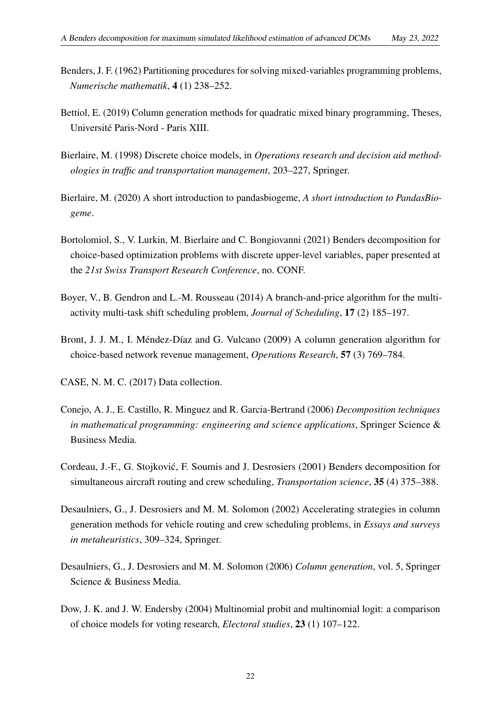- <span id="page-23-10"></span>Benders, J. F. (1962) Partitioning procedures for solving mixed-variables programming problems, *Numerische mathematik*, 4 (1) 238–252.
- <span id="page-23-12"></span>Bettiol, E. (2019) Column generation methods for quadratic mixed binary programming, Theses, Université Paris-Nord - Paris XIII.
- <span id="page-23-0"></span>Bierlaire, M. (1998) Discrete choice models, in *Operations research and decision aid methodologies in traffic and transportation management*, 203–227, Springer.
- <span id="page-23-8"></span>Bierlaire, M. (2020) A short introduction to pandasbiogeme, *A short introduction to PandasBiogeme*.
- <span id="page-23-5"></span>Bortolomiol, S., V. Lurkin, M. Bierlaire and C. Bongiovanni (2021) Benders decomposition for choice-based optimization problems with discrete upper-level variables, paper presented at the *21st Swiss Transport Research Conference*, no. CONF.
- <span id="page-23-7"></span>Boyer, V., B. Gendron and L.-M. Rousseau (2014) A branch-and-price algorithm for the multiactivity multi-task shift scheduling problem, *Journal of Scheduling*, 17 (2) 185–197.
- <span id="page-23-1"></span>Bront, J. J. M., I. Méndez-Díaz and G. Vulcano (2009) A column generation algorithm for choice-based network revenue management, *Operations Research*, 57 (3) 769–784.
- <span id="page-23-11"></span>CASE, N. M. C. (2017) Data collection.
- <span id="page-23-2"></span>Conejo, A. J., E. Castillo, R. Minguez and R. Garcia-Bertrand (2006) *Decomposition techniques in mathematical programming: engineering and science applications*, Springer Science & Business Media.
- <span id="page-23-4"></span>Cordeau, J.-F., G. Stojkovic, F. Soumis and J. Desrosiers (2001) Benders decomposition for ´ simultaneous aircraft routing and crew scheduling, *Transportation science*, 35 (4) 375–388.
- <span id="page-23-6"></span>Desaulniers, G., J. Desrosiers and M. M. Solomon (2002) Accelerating strategies in column generation methods for vehicle routing and crew scheduling problems, in *Essays and surveys in metaheuristics*, 309–324, Springer.
- <span id="page-23-3"></span>Desaulniers, G., J. Desrosiers and M. M. Solomon (2006) *Column generation*, vol. 5, Springer Science & Business Media.
- <span id="page-23-9"></span>Dow, J. K. and J. W. Endersby (2004) Multinomial probit and multinomial logit: a comparison of choice models for voting research, *Electoral studies*, 23 (1) 107–122.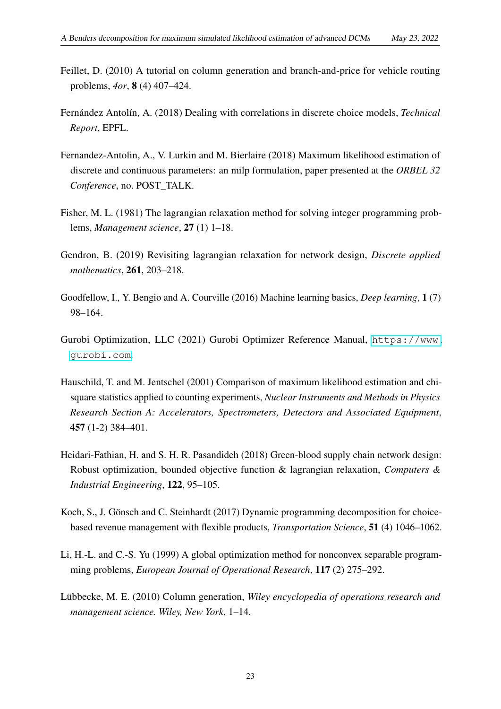- <span id="page-24-8"></span>Feillet, D. (2010) A tutorial on column generation and branch-and-price for vehicle routing problems, *4or*, 8 (4) 407–424.
- <span id="page-24-2"></span>Fernández Antolín, A. (2018) Dealing with correlations in discrete choice models, *Technical Report*, EPFL.
- <span id="page-24-3"></span>Fernandez-Antolin, A., V. Lurkin and M. Bierlaire (2018) Maximum likelihood estimation of discrete and continuous parameters: an milp formulation, paper presented at the *ORBEL 32 Conference*, no. POST\_TALK.
- <span id="page-24-5"></span>Fisher, M. L. (1981) The lagrangian relaxation method for solving integer programming problems, *Management science*, 27 (1) 1–18.
- <span id="page-24-7"></span>Gendron, B. (2019) Revisiting lagrangian relaxation for network design, *Discrete applied mathematics*, 261, 203–218.
- <span id="page-24-1"></span>Goodfellow, I., Y. Bengio and A. Courville (2016) Machine learning basics, *Deep learning*, 1 (7) 98–164.
- <span id="page-24-9"></span>Gurobi Optimization, LLC (2021) Gurobi Optimizer Reference Manual, [https://www.](https://www.gurobi.com) [gurobi.com](https://www.gurobi.com).
- <span id="page-24-0"></span>Hauschild, T. and M. Jentschel (2001) Comparison of maximum likelihood estimation and chisquare statistics applied to counting experiments, *Nuclear Instruments and Methods in Physics Research Section A: Accelerators, Spectrometers, Detectors and Associated Equipment*, 457 (1-2) 384–401.
- <span id="page-24-6"></span>Heidari-Fathian, H. and S. H. R. Pasandideh (2018) Green-blood supply chain network design: Robust optimization, bounded objective function & lagrangian relaxation, *Computers & Industrial Engineering*, 122, 95–105.
- <span id="page-24-4"></span>Koch, S., J. Gönsch and C. Steinhardt (2017) Dynamic programming decomposition for choicebased revenue management with flexible products, *Transportation Science*, 51 (4) 1046–1062.
- <span id="page-24-11"></span>Li, H.-L. and C.-S. Yu (1999) A global optimization method for nonconvex separable programming problems, *European Journal of Operational Research*, 117 (2) 275–292.
- <span id="page-24-10"></span>Lübbecke, M. E. (2010) Column generation, *Wiley encyclopedia of operations research and management science. Wiley, New York*, 1–14.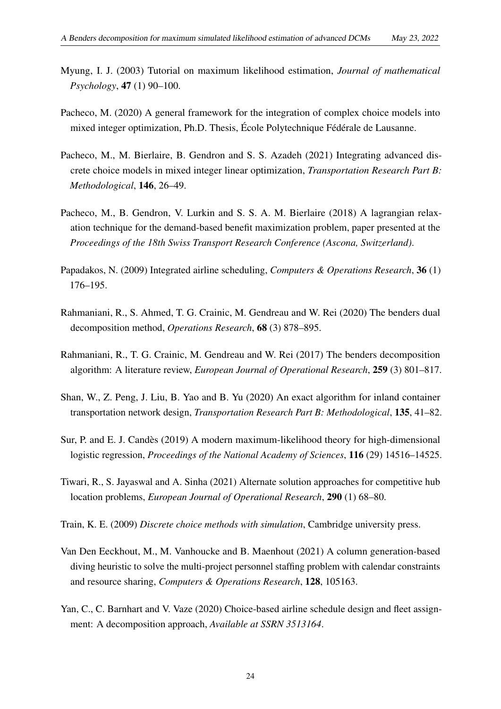- <span id="page-25-0"></span>Myung, I. J. (2003) Tutorial on maximum likelihood estimation, *Journal of mathematical Psychology*, 47 (1) 90–100.
- <span id="page-25-12"></span>Pacheco, M. (2020) A general framework for the integration of complex choice models into mixed integer optimization, Ph.D. Thesis, École Polytechnique Fédérale de Lausanne.
- <span id="page-25-3"></span>Pacheco, M., M. Bierlaire, B. Gendron and S. S. Azadeh (2021) Integrating advanced discrete choice models in mixed integer linear optimization, *Transportation Research Part B: Methodological*, 146, 26–49.
- <span id="page-25-9"></span>Pacheco, M., B. Gendron, V. Lurkin and S. S. A. M. Bierlaire (2018) A lagrangian relaxation technique for the demand-based benefit maximization problem, paper presented at the *Proceedings of the 18th Swiss Transport Research Conference (Ascona, Switzerland)*.
- <span id="page-25-5"></span>Papadakos, N. (2009) Integrated airline scheduling, *Computers & Operations Research*, 36 (1) 176–195.
- <span id="page-25-4"></span>Rahmaniani, R., S. Ahmed, T. G. Crainic, M. Gendreau and W. Rei (2020) The benders dual decomposition method, *Operations Research*, 68 (3) 878–895.
- <span id="page-25-11"></span>Rahmaniani, R., T. G. Crainic, M. Gendreau and W. Rei (2017) The benders decomposition algorithm: A literature review, *European Journal of Operational Research*, 259 (3) 801–817.
- <span id="page-25-7"></span>Shan, W., Z. Peng, J. Liu, B. Yao and B. Yu (2020) An exact algorithm for inland container transportation network design, *Transportation Research Part B: Methodological*, 135, 41–82.
- <span id="page-25-1"></span>Sur, P. and E. J. Candès (2019) A modern maximum-likelihood theory for high-dimensional logistic regression, *Proceedings of the National Academy of Sciences*, 116 (29) 14516–14525.
- <span id="page-25-8"></span>Tiwari, R., S. Jayaswal and A. Sinha (2021) Alternate solution approaches for competitive hub location problems, *European Journal of Operational Research*, 290 (1) 68–80.
- <span id="page-25-2"></span>Train, K. E. (2009) *Discrete choice methods with simulation*, Cambridge university press.
- <span id="page-25-10"></span>Van Den Eeckhout, M., M. Vanhoucke and B. Maenhout (2021) A column generation-based diving heuristic to solve the multi-project personnel staffing problem with calendar constraints and resource sharing, *Computers & Operations Research*, 128, 105163.
- <span id="page-25-6"></span>Yan, C., C. Barnhart and V. Vaze (2020) Choice-based airline schedule design and fleet assignment: A decomposition approach, *Available at SSRN 3513164*.